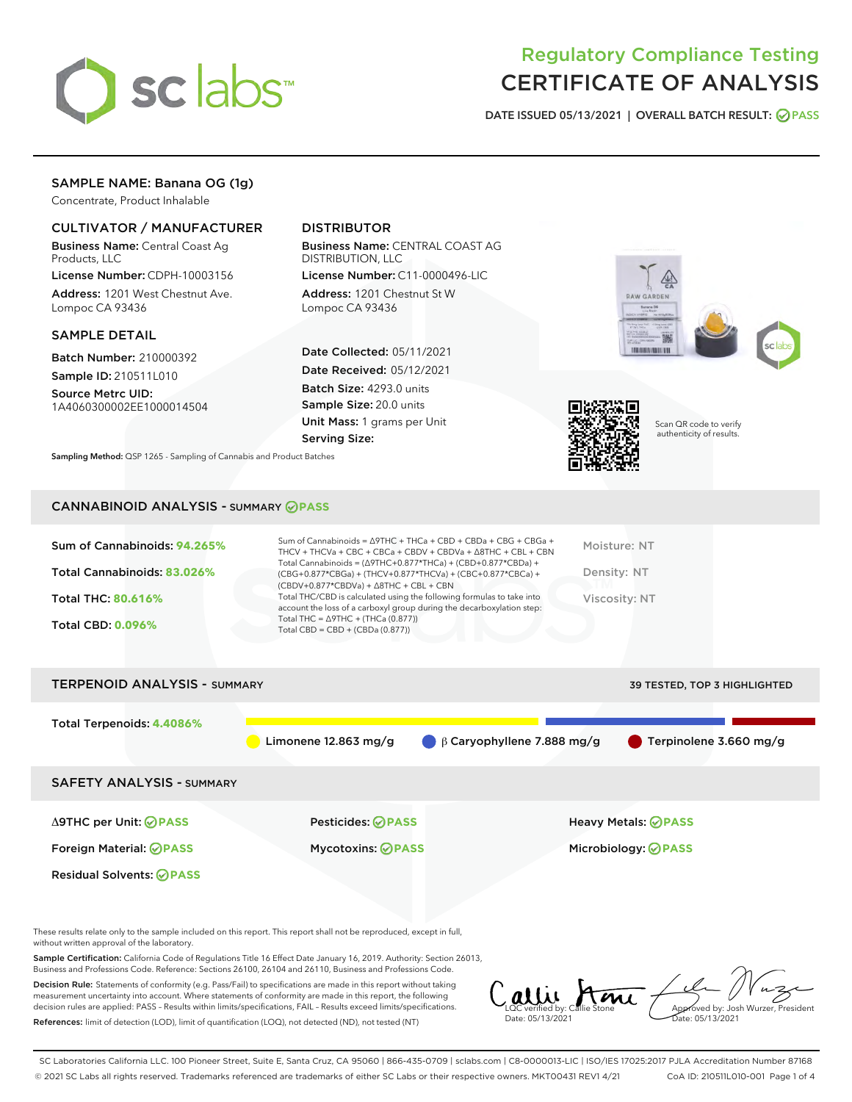

# Regulatory Compliance Testing CERTIFICATE OF ANALYSIS

DATE ISSUED 05/13/2021 | OVERALL BATCH RESULT: @ PASS

# SAMPLE NAME: Banana OG (1g)

Concentrate, Product Inhalable

# CULTIVATOR / MANUFACTURER

Business Name: Central Coast Ag Products, LLC

License Number: CDPH-10003156 Address: 1201 West Chestnut Ave. Lompoc CA 93436

## SAMPLE DETAIL

Batch Number: 210000392 Sample ID: 210511L010

Source Metrc UID: 1A4060300002EE1000014504

# DISTRIBUTOR

Business Name: CENTRAL COAST AG DISTRIBUTION, LLC

License Number: C11-0000496-LIC Address: 1201 Chestnut St W Lompoc CA 93436

Date Collected: 05/11/2021 Date Received: 05/12/2021 Batch Size: 4293.0 units Sample Size: 20.0 units Unit Mass: 1 grams per Unit Serving Size:







Scan QR code to verify authenticity of results.

Sampling Method: QSP 1265 - Sampling of Cannabis and Product Batches

# CANNABINOID ANALYSIS - SUMMARY **PASS**

| Sum of Cannabinoids: 94.265% | Sum of Cannabinoids = $\triangle$ 9THC + THCa + CBD + CBDa + CBG + CBGa +<br>THCV + THCVa + CBC + CBCa + CBDV + CBDVa + $\Delta$ 8THC + CBL + CBN                                      | Moisture: NT  |
|------------------------------|----------------------------------------------------------------------------------------------------------------------------------------------------------------------------------------|---------------|
| Total Cannabinoids: 83.026%  | Total Cannabinoids = $(\Delta 9THC + 0.877*THCa) + (CBD+0.877*CBDa) +$<br>(CBG+0.877*CBGa) + (THCV+0.877*THCVa) + (CBC+0.877*CBCa) +<br>$(CBDV+0.877*CBDVa) + \Delta 8THC + CBL + CBN$ | Density: NT   |
| <b>Total THC: 80.616%</b>    | Total THC/CBD is calculated using the following formulas to take into<br>account the loss of a carboxyl group during the decarboxylation step:                                         | Viscosity: NT |
| <b>Total CBD: 0.096%</b>     | Total THC = $\triangle$ 9THC + (THCa (0.877))<br>Total CBD = CBD + (CBDa $(0.877)$ )                                                                                                   |               |
|                              |                                                                                                                                                                                        |               |

# TERPENOID ANALYSIS - SUMMARY 39 TESTED, TOP 3 HIGHLIGHTED Total Terpenoids: **4.4086%** Limonene 12.863 mg/g β Caryophyllene 7.888 mg/g Terpinolene 3.660 mg/g SAFETY ANALYSIS - SUMMARY Δ9THC per Unit: **PASS** Pesticides: **PASS** Heavy Metals: **PASS** Foreign Material: **PASS** Mycotoxins: **PASS** Microbiology: **PASS** Residual Solvents: **PASS**

These results relate only to the sample included on this report. This report shall not be reproduced, except in full, without written approval of the laboratory.

Sample Certification: California Code of Regulations Title 16 Effect Date January 16, 2019. Authority: Section 26013, Business and Professions Code. Reference: Sections 26100, 26104 and 26110, Business and Professions Code.

Decision Rule: Statements of conformity (e.g. Pass/Fail) to specifications are made in this report without taking measurement uncertainty into account. Where statements of conformity are made in this report, the following decision rules are applied: PASS – Results within limits/specifications, FAIL – Results exceed limits/specifications. References: limit of detection (LOD), limit of quantification (LOQ), not detected (ND), not tested (NT)

allie Ami Date: 05/13/2021 **A**<br>Approved by: Josh Wurzer, President Date: 05/13/2021

SC Laboratories California LLC. 100 Pioneer Street, Suite E, Santa Cruz, CA 95060 | 866-435-0709 | sclabs.com | C8-0000013-LIC | ISO/IES 17025:2017 PJLA Accreditation Number 87168 © 2021 SC Labs all rights reserved. Trademarks referenced are trademarks of either SC Labs or their respective owners. MKT00431 REV1 4/21 CoA ID: 210511L010-001 Page 1 of 4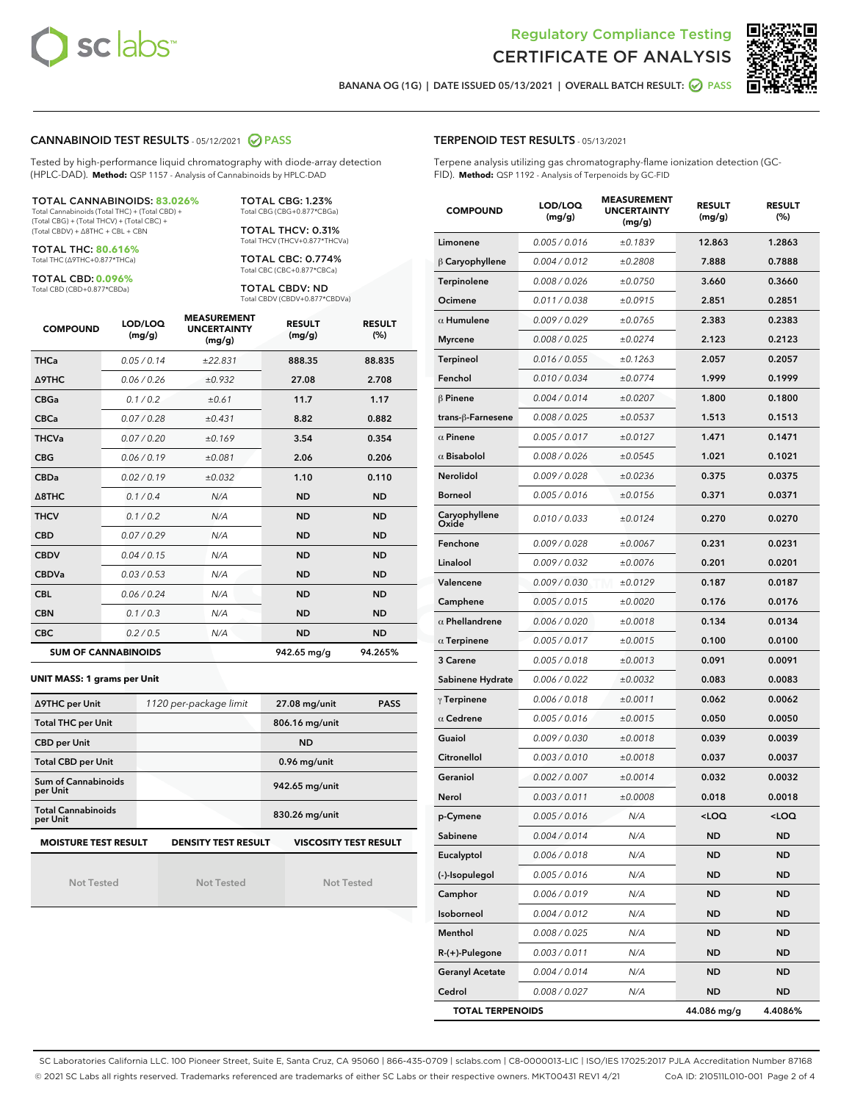



BANANA OG (1G) | DATE ISSUED 05/13/2021 | OVERALL BATCH RESULT: @ PASS

### CANNABINOID TEST RESULTS - 05/12/2021 2 PASS

Tested by high-performance liquid chromatography with diode-array detection (HPLC-DAD). **Method:** QSP 1157 - Analysis of Cannabinoids by HPLC-DAD

#### TOTAL CANNABINOIDS: **83.026%** Total Cannabinoids (Total THC) + (Total CBD) +

(Total CBG) + (Total THCV) + (Total CBC) + (Total CBDV) + ∆8THC + CBL + CBN

TOTAL THC: **80.616%** Total THC (∆9THC+0.877\*THCa)

TOTAL CBD: **0.096%**

Total CBD (CBD+0.877\*CBDa)

TOTAL CBG: 1.23% Total CBG (CBG+0.877\*CBGa)

TOTAL THCV: 0.31% Total THCV (THCV+0.877\*THCVa)

TOTAL CBC: 0.774% Total CBC (CBC+0.877\*CBCa)

TOTAL CBDV: ND Total CBDV (CBDV+0.877\*CBDVa)

| <b>COMPOUND</b>  | LOD/LOQ<br>(mg/g)          | <b>MEASUREMENT</b><br><b>UNCERTAINTY</b><br>(mg/g) | <b>RESULT</b><br>(mg/g) | <b>RESULT</b><br>(%) |
|------------------|----------------------------|----------------------------------------------------|-------------------------|----------------------|
| <b>THCa</b>      | 0.05/0.14                  | ±22.831                                            | 888.35                  | 88.835               |
| <b>A9THC</b>     | 0.06 / 0.26                | ±0.932                                             | 27.08                   | 2.708                |
| <b>CBGa</b>      | 0.1 / 0.2                  | ±0.61                                              | 11.7                    | 1.17                 |
| <b>CBCa</b>      | 0.07/0.28                  | ±0.431                                             | 8.82                    | 0.882                |
| <b>THCVa</b>     | 0.07/0.20                  | ±0.169                                             | 3.54                    | 0.354                |
| <b>CBG</b>       | 0.06/0.19                  | ±0.081                                             | 2.06                    | 0.206                |
| <b>CBDa</b>      | 0.02/0.19                  | ±0.032                                             | 1.10                    | 0.110                |
| $\triangle$ 8THC | 0.1/0.4                    | N/A                                                | <b>ND</b>               | <b>ND</b>            |
| <b>THCV</b>      | 0.1/0.2                    | N/A                                                | <b>ND</b>               | <b>ND</b>            |
| <b>CBD</b>       | 0.07/0.29                  | N/A                                                | <b>ND</b>               | <b>ND</b>            |
| <b>CBDV</b>      | 0.04/0.15                  | N/A                                                | <b>ND</b>               | <b>ND</b>            |
| <b>CBDVa</b>     | 0.03/0.53                  | N/A                                                | <b>ND</b>               | <b>ND</b>            |
| <b>CBL</b>       | 0.06 / 0.24                | N/A                                                | <b>ND</b>               | <b>ND</b>            |
| <b>CBN</b>       | 0.1 / 0.3                  | N/A                                                | <b>ND</b>               | <b>ND</b>            |
| <b>CBC</b>       | 0.2 / 0.5                  | N/A                                                | <b>ND</b>               | <b>ND</b>            |
|                  | <b>SUM OF CANNABINOIDS</b> |                                                    | 942.65 mg/g             | 94.265%              |

#### **UNIT MASS: 1 grams per Unit**

| ∆9THC per Unit                        | 1120 per-package limit     | 27.08 mg/unit<br><b>PASS</b> |
|---------------------------------------|----------------------------|------------------------------|
| <b>Total THC per Unit</b>             |                            | 806.16 mg/unit               |
| <b>CBD per Unit</b>                   |                            | <b>ND</b>                    |
| <b>Total CBD per Unit</b>             |                            | 0.96 mg/unit                 |
| Sum of Cannabinoids<br>per Unit       |                            | 942.65 mg/unit               |
| <b>Total Cannabinoids</b><br>per Unit |                            | 830.26 mg/unit               |
| <b>MOISTURE TEST RESULT</b>           | <b>DENSITY TEST RESULT</b> | VISCOSITY TEST RESULT        |

Not Tested

Not Tested

Not Tested

Terpene analysis utilizing gas chromatography-flame ionization detection (GC-FID). **Method:** QSP 1192 - Analysis of Terpenoids by GC-FID

| <b>COMPOUND</b>         | LOD/LOQ<br>(mg/g) | <b>MEASUREMENT</b><br><b>UNCERTAINTY</b><br>(mg/g) | <b>RESULT</b><br>(mg/g)                         | <b>RESULT</b><br>(%) |
|-------------------------|-------------------|----------------------------------------------------|-------------------------------------------------|----------------------|
| Limonene                | 0.005 / 0.016     | ±0.1839                                            | 12.863                                          | 1.2863               |
| $\beta$ Caryophyllene   | 0.004 / 0.012     | ±0.2808                                            | 7.888                                           | 0.7888               |
| Terpinolene             | 0.008 / 0.026     | ±0.0750                                            | 3.660                                           | 0.3660               |
| Ocimene                 | 0.011 / 0.038     | ±0.0915                                            | 2.851                                           | 0.2851               |
| $\alpha$ Humulene       | 0.009 / 0.029     | ±0.0765                                            | 2.383                                           | 0.2383               |
| <b>Myrcene</b>          | 0.008 / 0.025     | ±0.0274                                            | 2.123                                           | 0.2123               |
| <b>Terpineol</b>        | 0.016 / 0.055     | ±0.1263                                            | 2.057                                           | 0.2057               |
| Fenchol                 | 0.010/0.034       | ±0.0774                                            | 1.999                                           | 0.1999               |
| $\beta$ Pinene          | 0.004 / 0.014     | ±0.0207                                            | 1.800                                           | 0.1800               |
| trans-ß-Farnesene       | 0.008 / 0.025     | ±0.0537                                            | 1.513                                           | 0.1513               |
| $\alpha$ Pinene         | 0.005 / 0.017     | ±0.0127                                            | 1.471                                           | 0.1471               |
| $\alpha$ Bisabolol      | 0.008 / 0.026     | ±0.0545                                            | 1.021                                           | 0.1021               |
| <b>Nerolidol</b>        | 0.009 / 0.028     | ±0.0236                                            | 0.375                                           | 0.0375               |
| <b>Borneol</b>          | 0.005 / 0.016     | ±0.0156                                            | 0.371                                           | 0.0371               |
| Caryophyllene<br>Oxide  | 0.010 / 0.033     | ±0.0124                                            | 0.270                                           | 0.0270               |
| Fenchone                | 0.009 / 0.028     | ±0.0067                                            | 0.231                                           | 0.0231               |
| Linalool                | 0.009 / 0.032     | ±0.0076                                            | 0.201                                           | 0.0201               |
| Valencene               | 0.009 / 0.030     | ±0.0129                                            | 0.187                                           | 0.0187               |
| Camphene                | 0.005 / 0.015     | ±0.0020                                            | 0.176                                           | 0.0176               |
| $\alpha$ Phellandrene   | 0.006 / 0.020     | ±0.0018                                            | 0.134                                           | 0.0134               |
| $\alpha$ Terpinene      | 0.005 / 0.017     | ±0.0015                                            | 0.100                                           | 0.0100               |
| 3 Carene                | 0.005 / 0.018     | ±0.0013                                            | 0.091                                           | 0.0091               |
| Sabinene Hydrate        | 0.006 / 0.022     | ±0.0032                                            | 0.083                                           | 0.0083               |
| $\gamma$ Terpinene      | 0.006 / 0.018     | ±0.0011                                            | 0.062                                           | 0.0062               |
| $\alpha$ Cedrene        | 0.005 / 0.016     | ±0.0015                                            | 0.050                                           | 0.0050               |
| Guaiol                  | 0.009 / 0.030     | ±0.0018                                            | 0.039                                           | 0.0039               |
| Citronellol             | 0.003 / 0.010     | ±0.0018                                            | 0.037                                           | 0.0037               |
| Geraniol                | 0.002 / 0.007     | ±0.0014                                            | 0.032                                           | 0.0032               |
| Nerol                   | 0.003 / 0.011     | ±0.0008                                            | 0.018                                           | 0.0018               |
| p-Cymene                | 0.005 / 0.016     | N/A                                                | <loq< th=""><th><loq< th=""></loq<></th></loq<> | <loq< th=""></loq<>  |
| Sabinene                | 0.004 / 0.014     | N/A                                                | ND                                              | ND                   |
| Eucalyptol              | 0.006 / 0.018     | N/A                                                | ND                                              | ND                   |
| (-)-Isopulegol          | 0.005 / 0.016     | N/A                                                | ND                                              | ND                   |
| Camphor                 | 0.006 / 0.019     | N/A                                                | ND                                              | ND                   |
| Isoborneol              | 0.004 / 0.012     | N/A                                                | ND                                              | ND                   |
| Menthol                 | 0.008 / 0.025     | N/A                                                | ND                                              | ND                   |
| R-(+)-Pulegone          | 0.003 / 0.011     | N/A                                                | ND                                              | ND                   |
| <b>Geranyl Acetate</b>  | 0.004 / 0.014     | N/A                                                | ND                                              | ND                   |
| Cedrol                  | 0.008 / 0.027     | N/A                                                | ND                                              | ND                   |
| <b>TOTAL TERPENOIDS</b> |                   |                                                    | 44.086 mg/g                                     | 4.4086%              |

SC Laboratories California LLC. 100 Pioneer Street, Suite E, Santa Cruz, CA 95060 | 866-435-0709 | sclabs.com | C8-0000013-LIC | ISO/IES 17025:2017 PJLA Accreditation Number 87168 © 2021 SC Labs all rights reserved. Trademarks referenced are trademarks of either SC Labs or their respective owners. MKT00431 REV1 4/21 CoA ID: 210511L010-001 Page 2 of 4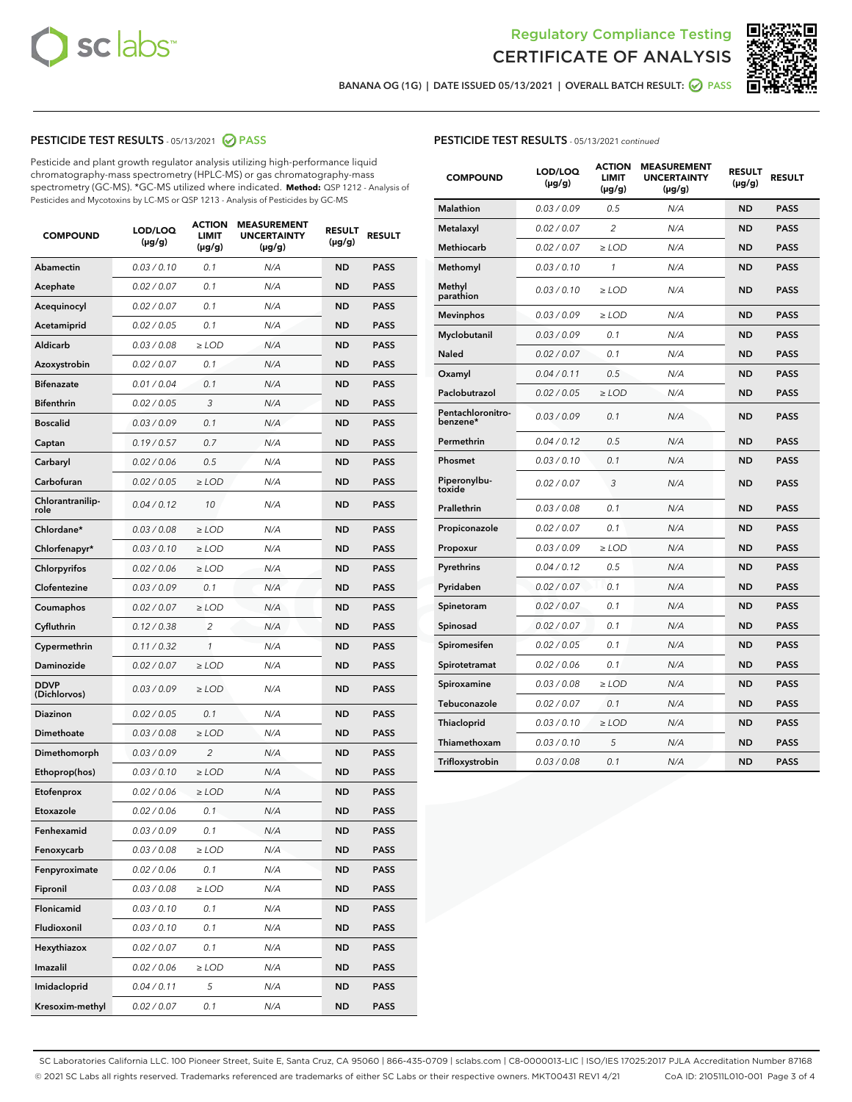



BANANA OG (1G) | DATE ISSUED 05/13/2021 | OVERALL BATCH RESULT:  $\bigcirc$  PASS

## PESTICIDE TEST RESULTS - 05/13/2021 2 PASS

Pesticide and plant growth regulator analysis utilizing high-performance liquid chromatography-mass spectrometry (HPLC-MS) or gas chromatography-mass spectrometry (GC-MS). \*GC-MS utilized where indicated. **Method:** QSP 1212 - Analysis of Pesticides and Mycotoxins by LC-MS or QSP 1213 - Analysis of Pesticides by GC-MS

| <b>COMPOUND</b>             | LOD/LOQ<br>(µg/g) | <b>ACTION</b><br><b>LIMIT</b><br>$(\mu g/g)$ | <b>MEASUREMENT</b><br><b>UNCERTAINTY</b><br>$(\mu g/g)$ | <b>RESULT</b><br>(µg/g) | <b>RESULT</b> |
|-----------------------------|-------------------|----------------------------------------------|---------------------------------------------------------|-------------------------|---------------|
| <b>Abamectin</b>            | 0.03 / 0.10       | 0.1                                          | N/A                                                     | <b>ND</b>               | <b>PASS</b>   |
| Acephate                    | 0.02 / 0.07       | 0.1                                          | N/A                                                     | <b>ND</b>               | <b>PASS</b>   |
| Acequinocyl                 | 0.02 / 0.07       | 0.1                                          | N/A                                                     | ND                      | <b>PASS</b>   |
| Acetamiprid                 | 0.02 / 0.05       | 0.1                                          | N/A                                                     | <b>ND</b>               | <b>PASS</b>   |
| Aldicarb                    | 0.03 / 0.08       | $\geq$ LOD                                   | N/A                                                     | <b>ND</b>               | <b>PASS</b>   |
| Azoxystrobin                | 0.02 / 0.07       | 0.1                                          | N/A                                                     | ND                      | <b>PASS</b>   |
| <b>Bifenazate</b>           | 0.01 / 0.04       | 0.1                                          | N/A                                                     | <b>ND</b>               | <b>PASS</b>   |
| <b>Bifenthrin</b>           | 0.02 / 0.05       | 3                                            | N/A                                                     | <b>ND</b>               | <b>PASS</b>   |
| <b>Boscalid</b>             | 0.03/0.09         | 0.1                                          | N/A                                                     | ND                      | <b>PASS</b>   |
| Captan                      | 0.19/0.57         | 0.7                                          | N/A                                                     | <b>ND</b>               | <b>PASS</b>   |
| Carbaryl                    | 0.02 / 0.06       | 0.5                                          | N/A                                                     | <b>ND</b>               | <b>PASS</b>   |
| Carbofuran                  | 0.02 / 0.05       | ≥ LOD                                        | N/A                                                     | ND                      | PASS          |
| Chlorantranilip-<br>role    | 0.04 / 0.12       | 10                                           | N/A                                                     | <b>ND</b>               | <b>PASS</b>   |
| Chlordane*                  | 0.03 / 0.08       | $\geq$ LOD                                   | N/A                                                     | <b>ND</b>               | <b>PASS</b>   |
| Chlorfenapyr*               | 0.03 / 0.10       | $\geq$ LOD                                   | N/A                                                     | <b>ND</b>               | <b>PASS</b>   |
| Chlorpyrifos                | 0.02 / 0.06       | $\geq$ LOD                                   | N/A                                                     | <b>ND</b>               | <b>PASS</b>   |
| Clofentezine                | 0.03/0.09         | 0.1                                          | N/A                                                     | <b>ND</b>               | <b>PASS</b>   |
| Coumaphos                   | 0.02 / 0.07       | $\geq$ LOD                                   | N/A                                                     | <b>ND</b>               | <b>PASS</b>   |
| Cyfluthrin                  | 0.12 / 0.38       | $\overline{c}$                               | N/A                                                     | <b>ND</b>               | <b>PASS</b>   |
| Cypermethrin                | 0.11 / 0.32       | 1                                            | N/A                                                     | <b>ND</b>               | <b>PASS</b>   |
| Daminozide                  | 0.02 / 0.07       | $\geq$ LOD                                   | N/A                                                     | <b>ND</b>               | <b>PASS</b>   |
| <b>DDVP</b><br>(Dichlorvos) | 0.03 / 0.09       | $\geq$ LOD                                   | N/A                                                     | <b>ND</b>               | <b>PASS</b>   |
| <b>Diazinon</b>             | 0.02 / 0.05       | 0.1                                          | N/A                                                     | <b>ND</b>               | <b>PASS</b>   |
| Dimethoate                  | 0.03 / 0.08       | $\geq$ LOD                                   | N/A                                                     | <b>ND</b>               | <b>PASS</b>   |
| Dimethomorph                | 0.03 / 0.09       | 2                                            | N/A                                                     | <b>ND</b>               | <b>PASS</b>   |
| Ethoprop(hos)               | 0.03 / 0.10       | $\ge$ LOD                                    | N/A                                                     | <b>ND</b>               | <b>PASS</b>   |
| Etofenprox                  | 0.02 / 0.06       | $\ge$ LOD                                    | N/A                                                     | <b>ND</b>               | <b>PASS</b>   |
| Etoxazole                   | 0.02 / 0.06       | 0.1                                          | N/A                                                     | <b>ND</b>               | <b>PASS</b>   |
| Fenhexamid                  | 0.03 / 0.09       | 0.1                                          | N/A                                                     | ND                      | <b>PASS</b>   |
| Fenoxycarb                  | 0.03 / 0.08       | ≥ LOD                                        | N/A                                                     | ND                      | <b>PASS</b>   |
| Fenpyroximate               | 0.02 / 0.06       | 0.1                                          | N/A                                                     | <b>ND</b>               | <b>PASS</b>   |
| Fipronil                    | 0.03 / 0.08       | $\ge$ LOD                                    | N/A                                                     | <b>ND</b>               | <b>PASS</b>   |
| Flonicamid                  | 0.03 / 0.10       | 0.1                                          | N/A                                                     | <b>ND</b>               | <b>PASS</b>   |
| Fludioxonil                 | 0.03 / 0.10       | 0.1                                          | N/A                                                     | <b>ND</b>               | <b>PASS</b>   |
| Hexythiazox                 | 0.02 / 0.07       | 0.1                                          | N/A                                                     | <b>ND</b>               | <b>PASS</b>   |
| Imazalil                    | 0.02 / 0.06       | $\geq$ LOD                                   | N/A                                                     | <b>ND</b>               | <b>PASS</b>   |
| Imidacloprid                | 0.04 / 0.11       | 5                                            | N/A                                                     | <b>ND</b>               | <b>PASS</b>   |
| Kresoxim-methyl             | 0.02 / 0.07       | 0.1                                          | N/A                                                     | <b>ND</b>               | <b>PASS</b>   |

# PESTICIDE TEST RESULTS - 05/13/2021 continued

| <b>COMPOUND</b>               | LOD/LOQ<br>$(\mu g/g)$ | <b>ACTION</b><br>LIMIT<br>$(\mu g/g)$ | <b>MEASUREMENT</b><br><b>UNCERTAINTY</b><br>$(\mu g/g)$ | <b>RESULT</b><br>(µg/g) | <b>RESULT</b> |
|-------------------------------|------------------------|---------------------------------------|---------------------------------------------------------|-------------------------|---------------|
| <b>Malathion</b>              | 0.03 / 0.09            | 0.5                                   | N/A                                                     | <b>ND</b>               | <b>PASS</b>   |
| Metalaxyl                     | 0.02 / 0.07            | 2                                     | N/A                                                     | ND                      | <b>PASS</b>   |
| <b>Methiocarb</b>             | 0.02 / 0.07            | $\geq$ LOD                            | N/A                                                     | <b>ND</b>               | <b>PASS</b>   |
| Methomyl                      | 0.03 / 0.10            | 1                                     | N/A                                                     | ND                      | <b>PASS</b>   |
| Methyl<br>parathion           | 0.03/0.10              | $\geq$ LOD                            | N/A                                                     | <b>ND</b>               | <b>PASS</b>   |
| <b>Mevinphos</b>              | 0.03 / 0.09            | $\geq$ LOD                            | N/A                                                     | <b>ND</b>               | <b>PASS</b>   |
| Myclobutanil                  | 0.03 / 0.09            | 0.1                                   | N/A                                                     | <b>ND</b>               | <b>PASS</b>   |
| Naled                         | 0.02 / 0.07            | 0.1                                   | N/A                                                     | <b>ND</b>               | <b>PASS</b>   |
| Oxamyl                        | 0.04 / 0.11            | 0.5                                   | N/A                                                     | <b>ND</b>               | <b>PASS</b>   |
| Paclobutrazol                 | 0.02 / 0.05            | $\geq$ LOD                            | N/A                                                     | <b>ND</b>               | <b>PASS</b>   |
| Pentachloronitro-<br>benzene* | 0.03/0.09              | 0.1                                   | N/A                                                     | ND                      | <b>PASS</b>   |
| Permethrin                    | 0.04 / 0.12            | 0.5                                   | N/A                                                     | <b>ND</b>               | <b>PASS</b>   |
| Phosmet                       | 0.03 / 0.10            | 0.1                                   | N/A                                                     | ND                      | <b>PASS</b>   |
| Piperonylbu-<br>toxide        | 0.02 / 0.07            | 3                                     | N/A                                                     | <b>ND</b>               | <b>PASS</b>   |
| Prallethrin                   | 0.03 / 0.08            | 0.1                                   | N/A                                                     | <b>ND</b>               | <b>PASS</b>   |
| Propiconazole                 | 0.02 / 0.07            | 0.1                                   | N/A                                                     | <b>ND</b>               | <b>PASS</b>   |
| Propoxur                      | 0.03 / 0.09            | $\geq$ LOD                            | N/A                                                     | <b>ND</b>               | <b>PASS</b>   |
| Pyrethrins                    | 0.04 / 0.12            | 0.5                                   | N/A                                                     | <b>ND</b>               | <b>PASS</b>   |
| Pyridaben                     | 0.02 / 0.07            | 0.1                                   | N/A                                                     | ND                      | <b>PASS</b>   |
| Spinetoram                    | 0.02 / 0.07            | 0.1                                   | N/A                                                     | <b>ND</b>               | <b>PASS</b>   |
| Spinosad                      | 0.02 / 0.07            | 0.1                                   | N/A                                                     | <b>ND</b>               | PASS          |
| Spiromesifen                  | 0.02 / 0.05            | 0.1                                   | N/A                                                     | <b>ND</b>               | <b>PASS</b>   |
| Spirotetramat                 | 0.02 / 0.06            | 0.1                                   | N/A                                                     | <b>ND</b>               | <b>PASS</b>   |
| Spiroxamine                   | 0.03 / 0.08            | $\geq$ LOD                            | N/A                                                     | ND                      | <b>PASS</b>   |
| Tebuconazole                  | 0.02 / 0.07            | 0.1                                   | N/A                                                     | <b>ND</b>               | <b>PASS</b>   |
| Thiacloprid                   | 0.03 / 0.10            | $\geq$ LOD                            | N/A                                                     | <b>ND</b>               | <b>PASS</b>   |
| Thiamethoxam                  | 0.03 / 0.10            | 5                                     | N/A                                                     | <b>ND</b>               | <b>PASS</b>   |
| Trifloxystrobin               | 0.03 / 0.08            | 0.1                                   | N/A                                                     | <b>ND</b>               | <b>PASS</b>   |

SC Laboratories California LLC. 100 Pioneer Street, Suite E, Santa Cruz, CA 95060 | 866-435-0709 | sclabs.com | C8-0000013-LIC | ISO/IES 17025:2017 PJLA Accreditation Number 87168 © 2021 SC Labs all rights reserved. Trademarks referenced are trademarks of either SC Labs or their respective owners. MKT00431 REV1 4/21 CoA ID: 210511L010-001 Page 3 of 4